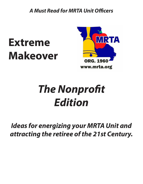*A Must Read for MRTA Unit Officers*

## **Extreme Makeover**



## *The Nonprofit Edition*

## *Ideas for energizing your MRTA Unit and attracting the retiree of the 21st Century.*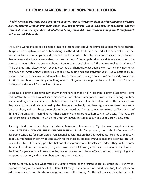## **EXTREME MAKEOVER: THE NON-PROFIT EDITION**

*The following address was given by Stuart Langston, PhD to the National Leadership Conference of NRTA: AARP's Educator Community in Washington , D.C. on September 7, 2008. Dr. Langston is a Senior Fellow at Florida State University and President of Stuart Langston and Associates, a consulting firm through which he has served 500 clients.* 

We live in a world of rapid social change. I heard a recent story about the journalist Barbara Walters illustrates this point. On a trip to report on cultural changes in the Middle East, she observed in the nation of Dubai, that women walked several steps behind their male partners. When she returned some years later, she observed that women walked several steps ahead of their partners. Observing this dramatic difference in custom, she asked a woman, "What has brought about this marvelous social change?" The woman replied, "land mines." While change is not always what it seems, it seems that change is, what people want, particularly in America. As a nation of immigrants, we believe in change, new beginnings, and transformation. Today, notions like reinvention and extreme makeover dominate public consciousness. Just go on-line to Amazon and you can find 30,000 books about reinventing something or other. Or go to the Google website, enter the term "Extreme Makeover" and you will find 3 million references.

Speaking of Extreme Makeover, how many of you have seen the hit TV program "Extreme Makeover: Home Edition?" For those who have not seen this series, in each show a family goes on vacation and during that time a team of designers and craftsmen totally transform their house into a showplace. When the family returns, they are surprised and overwhelmed by the change, some family members cry, some are speechless, some laugh or cheer, and most bless the results with such words as, "This is a dream come true," or, "l am in awe of this stuff." As an aside, I heard that there has been only one disgruntled homeowner who said, "This looks like a lot more crap to clean up." To which the program's producer responded, "Yes, but at least it is new crap."

Recently, I had a crazy idea about the Extreme Makeover phenomenon. My idea was to create a spin-off called: EXTREME MAKEOVER: THE NONPROFIT EDITION. For the first program, I could think of no more of a deserving candidate for a complete organizational transformation than a retired educator's group. So today, I hope you might help me on my casting search for the most dilapidated, dysfunctional, and decaying local unit we can find. Now, it is entirely possible that one of your groups could be selected. Indeed, they could become the star of the show if, at minimum, the group possesses the following attributes: their membership has been declining for years, no one knows who they are, no one wants to be an officer, they don't do anything, their programs are boring, and the members can't agree on anything.

At this point, you may ask: what would an extreme makeover of a retired educator's group look like? While I suppose every group would be a little different, let me give you my version based on a study I did last year of a dozen very successful retired educator groups around the country. So, the makeover scenario I am about to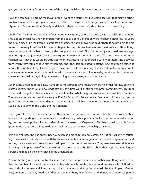give you is not entirely fictional as most of the things I will describe were done by at least one of these groups.

Now, the composite extreme makeover group I want to describe has five visible features that make it attractive to its members and prospective members. The five things that set this group apart have to do with Diversity, Impact, Communication, Quality, and Relationships. Let me briefly describe each of these things.

DIVERSITY: The foremost problem of our hypothetical group, before makeover, was that while the membership got older each year, new members from the Baby Boom Generation were not being attracted. For years, the group acted like the Peanuts comic strip character Charlie Brown who said, "There is no problem too big for us to run away from." Well, turnaround began the day this problem was taken seriously, and three things were done right off the bat to diversify the group and its appeal. First, 10 presently employed teachers ages 45 to 60 agreed to join members in a workgroup to reinvent the organization. What was learned from the teachers was that they would be attracted to an organization that offered a variety of interesting activities from which they could choose rather than meetings they felt obligated to attend. So, the group decided to reduce the number of regular meetings, to make sure the fewer meetings had exceptional programs, and to create a number of other activities of interest to members such as: hikes, one day service projects, wine and cheese tasting, field trips, dining out events, going to the theatre, and museum visits.

Second, the group adopted a new name since most prospective members were no longer retiring, but were, instead, recareering through new kinds of work, part-time work, or strong volunteer commitments. This took some hard thought to choose a name that would reflect what the group was about and wanted to achieve. The new name selected was the acronym SEAL for *Supporting Educators And Learning* which emphasizes the group's mission to support retired educators, education, and lifelong learning. So, now the community has a Seals group to go with the Lions and the Rotarians.

Third, given the trend to re-career rather than retire, the group opened up membership to anyone with an interest in supporting educators, education, and learning. While public school educators remained a minority, the membership diversified considerably as it increased by 500 percent. This has made it possible for the group to do many more things, to do them well, and to do them on a much greater scale.

IMPACT: Volunteering has always been widespread among retired educators. So it is particularly encouraging to see research which finds that Baby Boomers volunteer at rates greater than any other generation; and, further, they are very concerned about the impact of their volunteer service. They want to make a difference. Realizing the importance of this, our extreme makeover group, the SEAL, rebuilt their approach to volunteer service and made it the centerpiece of the organization.

Previously, the group's philosophy of service was to encourage members to do their own thing, and to count the total number of hours all members volunteered annually. While this was not done away with, SEAL added two kinds of volunteer activities through which members work together to maximize their impact. One activity consists of one day "workdays" that engage members, their families and friends, and interested people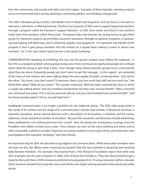from the community, and usually end with a pot-luck supper. Examples of these episodic volunteer projects are an environmental clean-up day, planting a community garden, and building a playground.

The other volunteer group activity is decidedly more in-depth and long-term, and, by choice, is focused on educator's, education, or lifelong learning. The first such program of SEAL was to support beginning teachers, through a program called the Educator's Support Network - or ESN, since nearly one-third of new teachers today leave their positions within three years. The group helps new teachers by raising money to give them grants for classroom projects, by providing classroom assistance, through recognition programs, in sponsoring and helping with field-trips, and in obtaining supplies and equipment. An important side benefit of this program is that it gets group members into the schools on a regular basis making it easier to attract new members. So, in this case, what is good service is also good marketing.

COMMUNICATION: Speaking of marketing, this was one the group's weakest areas before the makeover. In fact, this is a rampant problem among groups today since most communicate poorly and people are confused about what the group is and what it does. Even though many retired educator groups try to communicate what they are about, frequently people just don't seem to get the message. In this regard, I am reminded of the story of two widows who were talking about the poor quality of public communication. One said to the other, "You know, I just don't watch TV anymore, there is just too much bad staff and too much sex." Her friend then asked, "What do you mean?" The woman continued, "Well last night I watched this show in which a couple was talking about," and she hesitated and blushed, but then said, "mutual benefit." After a moment she continued and asked, "If it is not too personal, did you and your late husband have mutual benefit?" And her friend quickly replied, "Oh no, we had State Farm."

Inadequate communication is no longer a problem for our makeover group. The SEAL takes great pride in the clarity of its content and the range of its communication vehicles that include: a handsome brochure, a quarterly newsletter, and an annual directory with a description of all activities; a schedule; and the names, addresses, email, and phone number of members. Because the newsletter and directory include advertising, these publications cost nothing and even turn a profit. Also, the group has strong press coverage since the President visits editors at least once a year. Press releases are sent out for every meeting and event, and as often as possible, a photo is included. Reporters are always invited to cover major events, and some have even participated in the volunteer "workdays" with their friends.

An important step for SEAL has also been to go digital in its communication. While some older members were not keen on this, the officers were convinced by research that this was essential to attracting and retaining Baby Boomer members. For example, they learned from a Pew Research Foundation report that while only 26% of people over 65 used computers in 2005, 63% of those 50 to 64 did so. They also discovered through a study by Microsoft that a 250% increase is predicted among people 65 to 74 using computers within a decade. Other research revealed that computer use is and will be even higher among educators than almost any other group.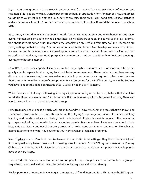So, our makeover group now has a website and uses email frequently. The website includes information and testimonials for people who may want to become members, an application form for membership, and a place to sign-up to volunteer in one of the group's service projects. There are articles, good pictures of all activities, and a schedule of all events. Also, there are links to the websites of the state REA and the national association, NRTA.

As to email, it is used regularly, but not over-used. Announcements are sent out for each meeting and every event. Minutes are sent out following all meetings. Newsletters are sent on-line as well as in print. Information about advocating for issues relevant to the organization are sent out from time to time. Members are sent greetings on their birthday. Committee information is distributed. Membership invoices and reminders are sent out for those who have not signed up for automatic annual payment from their checking account or credit card. And, very important, prospective members are sent notes inviting them to attend meetings, events, or to become members.

QUALITY: If there is one important lesson any makeover group has discovered in becoming successful, is that quality counts, especially when trying to attract Baby Boom members. These potential members are very discriminating because they have received more marketing messages than any group in history, and because there are some 1.6 million nonprofit groups in America competing for their affiliation. So, to win the Boomer, you have to adopt the adage of Aristotle that, "Quality is not an act, it is a habit."

While there are a lot of ways of thinking about quality, in nonprofit groups like ours, I believe that what I like to call the 4P formula works best. Simply put, the 4P formula seeks quality in Programs, Products, Place, and People. Here is how it works out in the SEAL group.

First, **programs** need to be top-notch, well-organized, and well-advertised. Among topics that we know to be winners are those that have to do with health (like the Staying Sharp program), finances for seniors, lifelong learning, and trends in education. Having the Superintendent of Schools speak is popular, if the person is a good speaker. Holiday parties with live music are also popular. Many members like to hear about books, hobbies, antiques, history, and travel; but every program has to be good at minimum and memorable at best to maintain a strong following. You have to do your homework in organizing programs.

Second, **place** counts. People do not like to meet in drab institutional settings. They like to feel special; and Boomers particularly have an aversion for meeting at senior centers. So the SEAL group meets at the Country Club and has very nice meals. Even though the cost is more than where the group met previously, people have been very happy.

Third, **products** make an important impression on people. So, every publication of our makeover group is very attractive and well written. Also, the website looks very nice and is user friendly.

Finally, **people** are important in creating an atmosphere of friendliness and fun. This is why the SEAL group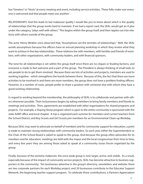has "Greeters" or "Hosts" at every meeting and event, including service activities. These folks make sure everyone is welcomed and that people meet one another.

RELATIONSHIPS: And this leads to last makeover quality I would like you to know about which is the quality of relationships that the group works hard to maintain. If we had a report card, the SEAL would get an A plus under the category, "plays well with others." This begins within the group itself, and then ripples out into relations with others outside of the group.

The actor Henry Winkler once observed that, "Assumptions are the termites of relationships." Well, the SEAL avoids assumptions because the officers have an annual planning workshop in which they review what they want to achieve in five key relationships. These relations lire with members, with families and friends of members, with other organizations, with community leaders, and with financial sponsors.

The tone for all relationships is set within the group itself since there are no cliques or feuding factions, and everyone is made to feel welcome and a part of the group. The President is always thinking of small tasks to ask people to do to get them involved. Because there are lots of activities and projects, members are used to working together - which strengthens the bonds between them. Because of this, the fact that there are more activities to be involved in and there are more members, the group does not have a problem finding officers. However, in a number of cases, people prefer to share a position with someone else with whom they have a good working relationship.

In regard to working beyond the membership, the philosophy of SEAL is to collaborate and partner with others whenever possible. Their inclusiveness begins by asking members to bring family members and friends to meetings and activities. Then, agreements are established with other organizations for shared programs and projects. For example, a Staying Sharp program which is open to the entire community is sponsored with the state AARP office and local chapter. A trip is organized each summer for members and current teachers from the School District; and Boy Scouts and Girl Scouts join members for an Environmental Clean-up Workday.

Because SEAL may want to advocate on behalf of members and for community support for education, a point is made to maintain strong relationships with community leaders. So each year, either the Superintendent or the Chair of the School Board is asked to speak to the group. And because the group often advocates for its members and for education, meetings are held with the mayor and the local congressman from time to time, and every few years they are among those asked to speak at a community issues forum organized by the group.

Finally, because of the extreme makeover, the once weak group is now larger, active, and visible. As a result, especially because of the impact of community service projects, SEAL has become attractive to business supporters in the community. Ten businesses advertise in the group's directory, newsletters and website; there are two corporate partners for each Workday project; and 20 businesses contribute to the Educator Support Network, the beginning teacher support program. To celebrate these contributions, a Partners Appreciation